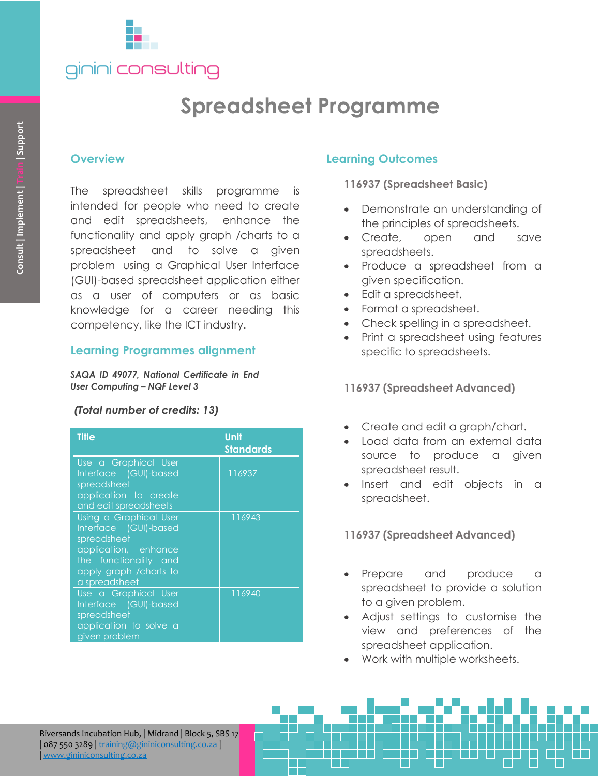

# **Spreadsheet Programme**

#### **Overview**

#### **Learning Programmes alignment**

#### *(Total number of credits: 13)*

| Consult   Implement   Train   Support                                | <b>Overview</b><br>spreadsheet skills programme is<br><b>The</b><br>intended for people who need to create<br>and edit spreadsheets, enhance the<br>functionality and apply graph / charts to a<br>spreadsheet and to solve a given<br>problem using a Graphical User Interface<br>(GUI)-based spreadsheet application either<br>as a user of computers or as basic<br>knowledge for a career needing<br>competency, like the ICT industry.<br><b>Learning Programmes alignment</b> | this                            |
|----------------------------------------------------------------------|-------------------------------------------------------------------------------------------------------------------------------------------------------------------------------------------------------------------------------------------------------------------------------------------------------------------------------------------------------------------------------------------------------------------------------------------------------------------------------------|---------------------------------|
| SAQA ID 49077, National Certificate in End                           |                                                                                                                                                                                                                                                                                                                                                                                                                                                                                     |                                 |
| <b>User Computing - NQF Level 3</b><br>(Total number of credits: 13) |                                                                                                                                                                                                                                                                                                                                                                                                                                                                                     |                                 |
|                                                                      | <b>Title</b>                                                                                                                                                                                                                                                                                                                                                                                                                                                                        | <b>Unit</b><br><b>Standards</b> |
|                                                                      | Use a Graphical User<br>Interface (GUI)-based<br>spreadsheet<br>application to create<br>and edit spreadsheets                                                                                                                                                                                                                                                                                                                                                                      | 116937                          |
|                                                                      | Using a Graphical User<br>Interface (GUI)-based<br>spreadsheet<br>application, enhance<br>the functionality and<br>apply graph / charts to                                                                                                                                                                                                                                                                                                                                          | 116943                          |
|                                                                      | a spreadsheet<br>Use a Graphical User<br>Interface (GUI)-based<br>spreadsheet<br>application to solve a<br>given problem                                                                                                                                                                                                                                                                                                                                                            | 116940                          |
|                                                                      |                                                                                                                                                                                                                                                                                                                                                                                                                                                                                     |                                 |
|                                                                      | Riversands Incubation Hub,   Midrand   Block 5, SBS 17<br>087 550 3289   training@gininiconsulting.co.za<br>www.gininiconsulting.co.za                                                                                                                                                                                                                                                                                                                                              |                                 |

#### **Learning Outcomes**

**116937 (Spreadsheet Basic)**

- Demonstrate an understanding of the principles of spreadsheets.
- Create, open and save spreadsheets.
- Produce a spreadsheet from a given specification.
- Edit a spreadsheet.
- Format a spreadsheet.
- Check spelling in a spreadsheet.
- Print a spreadsheet using features specific to spreadsheets.

**116937 (Spreadsheet Advanced)**

- Create and edit a graph/chart.
- Load data from an external data source to produce a given spreadsheet result.
- Insert and edit objects in a spreadsheet.

**116937 (Spreadsheet Advanced)**

- Prepare and produce a spreadsheet to provide a solution to a given problem.
- Adjust settings to customise the view and preferences of the spreadsheet application.
- Work with multiple worksheets.